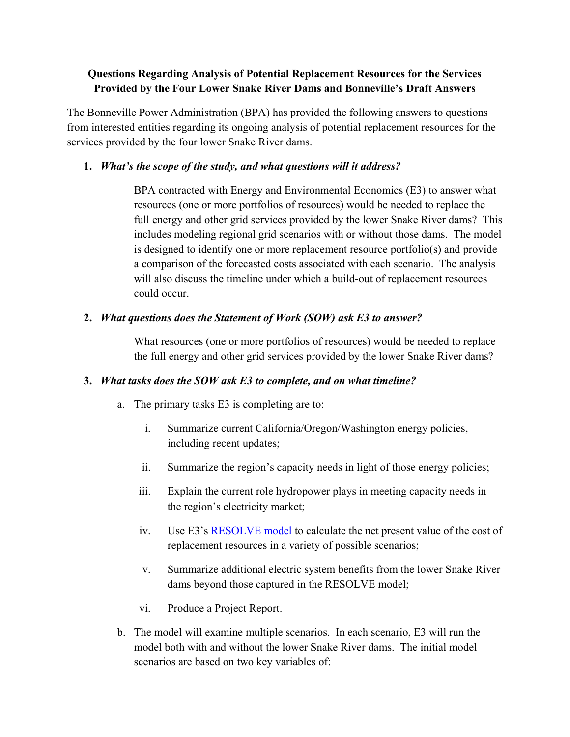# **Questions Regarding Analysis of Potential Replacement Resources for the Services Provided by the Four Lower Snake River Dams and Bonneville's Draft Answers**

The Bonneville Power Administration (BPA) has provided the following answers to questions from interested entities regarding its ongoing analysis of potential replacement resources for the services provided by the four lower Snake River dams.

## **1.** *What's the scope of the study, and what questions will it address?*

BPA contracted with Energy and Environmental Economics (E3) to answer what resources (one or more portfolios of resources) would be needed to replace the full energy and other grid services provided by the lower Snake River dams? This includes modeling regional grid scenarios with or without those dams. The model is designed to identify one or more replacement resource portfolio(s) and provide a comparison of the forecasted costs associated with each scenario. The analysis will also discuss the timeline under which a build-out of replacement resources could occur.

## **2.** *What questions does the Statement of Work (SOW) ask E3 to answer?*

What resources (one or more portfolios of resources) would be needed to replace the full energy and other grid services provided by the lower Snake River dams?

### **3.** *What tasks does the SOW ask E3 to complete, and on what timeline?*

- a. The primary tasks E3 is completing are to:
	- i. Summarize current California/Oregon/Washington energy policies, including recent updates;
	- ii. Summarize the region's capacity needs in light of those energy policies;
	- iii. Explain the current role hydropower plays in meeting capacity needs in the region's electricity market;
	- iv. Use E3's [RESOLVE model](https://www.ethree.com/tools/resolve-renewable-energy-solutions-model/) to calculate the net present value of the cost of replacement resources in a variety of possible scenarios;
	- v. Summarize additional electric system benefits from the lower Snake River dams beyond those captured in the RESOLVE model;
	- vi. Produce a Project Report.
- b. The model will examine multiple scenarios. In each scenario, E3 will run the model both with and without the lower Snake River dams. The initial model scenarios are based on two key variables of: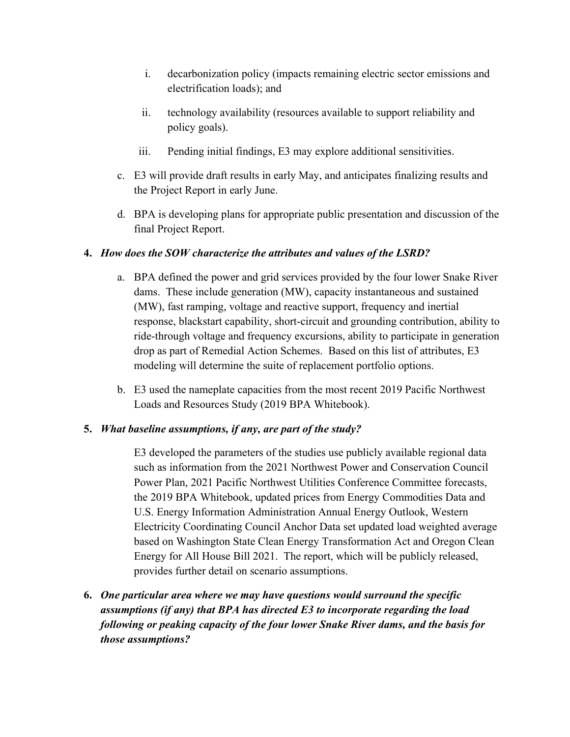- i. decarbonization policy (impacts remaining electric sector emissions and electrification loads); and
- ii. technology availability (resources available to support reliability and policy goals).
- iii. Pending initial findings, E3 may explore additional sensitivities.
- c. E3 will provide draft results in early May, and anticipates finalizing results and the Project Report in early June.
- d. BPA is developing plans for appropriate public presentation and discussion of the final Project Report.

## **4.** *How does the SOW characterize the attributes and values of the LSRD?*

- a. BPA defined the power and grid services provided by the four lower Snake River dams. These include generation (MW), capacity instantaneous and sustained (MW), fast ramping, voltage and reactive support, frequency and inertial response, blackstart capability, short-circuit and grounding contribution, ability to ride-through voltage and frequency excursions, ability to participate in generation drop as part of Remedial Action Schemes. Based on this list of attributes, E3 modeling will determine the suite of replacement portfolio options.
- b. E3 used the nameplate capacities from the most recent 2019 Pacific Northwest Loads and Resources Study (2019 BPA Whitebook).

### **5.** *What baseline assumptions, if any, are part of the study?*

E3 developed the parameters of the studies use publicly available regional data such as information from the 2021 Northwest Power and Conservation Council Power Plan, 2021 Pacific Northwest Utilities Conference Committee forecasts, the 2019 BPA Whitebook, updated prices from Energy Commodities Data and U.S. Energy Information Administration Annual Energy Outlook, Western Electricity Coordinating Council Anchor Data set updated load weighted average based on Washington State Clean Energy Transformation Act and Oregon Clean Energy for All House Bill 2021. The report, which will be publicly released, provides further detail on scenario assumptions.

**6.** *One particular area where we may have questions would surround the specific assumptions (if any) that BPA has directed E3 to incorporate regarding the load following or peaking capacity of the four lower Snake River dams, and the basis for those assumptions?*